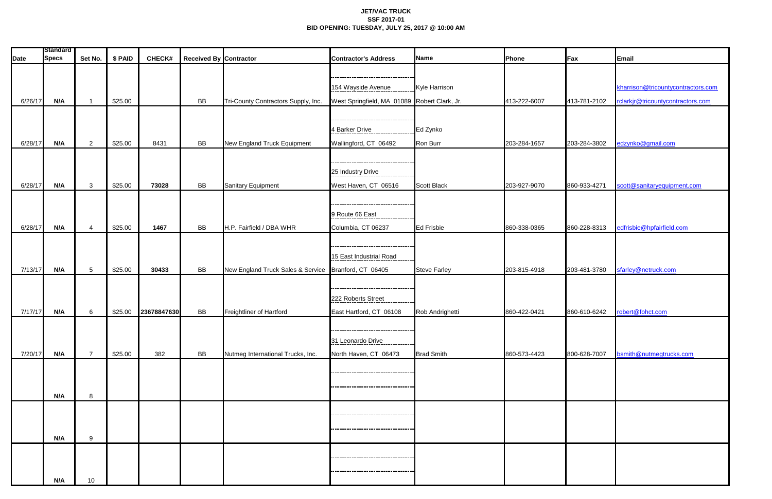## **JET/VAC TRUCK SSF 2017-01 BID OPENING: TUESDAY, JULY 25, 2017 @ 10:00 AM**

|             | <b>Standard</b> |                 |         |               |                               |                                                      |                                              |                      |              |              |                                    |
|-------------|-----------------|-----------------|---------|---------------|-------------------------------|------------------------------------------------------|----------------------------------------------|----------------------|--------------|--------------|------------------------------------|
| <b>Date</b> | <b>Specs</b>    | Set No.         | \$ PAID | <b>CHECK#</b> | <b>Received By Contractor</b> |                                                      | <b>Contractor's Address</b>                  | Name                 | Phone        | Fax          | Email                              |
|             |                 |                 |         |               |                               |                                                      |                                              |                      |              |              |                                    |
|             |                 |                 |         |               |                               |                                                      | 154 Wayside Avenue                           | <b>Kyle Harrison</b> |              |              | kharrison@tricountycontractors.com |
| 6/26/17     | N/A             |                 | \$25.00 |               | BB                            | Tri-County Contractors Supply, Inc.                  | West Springfield, MA 01089 Robert Clark, Jr. |                      | 413-222-6007 | 413-781-2102 | rclarkjr@tricountycontractors.com  |
|             |                 |                 |         |               |                               |                                                      |                                              |                      |              |              |                                    |
|             |                 |                 |         |               |                               |                                                      |                                              |                      |              |              |                                    |
|             |                 |                 |         |               |                               |                                                      | 4 Barker Drive                               | Ed Zynko             |              |              |                                    |
| 6/28/17     | N/A             | $\overline{2}$  | \$25.00 | 8431          | BB                            | New England Truck Equipment                          | Wallingford, CT 06492                        | Ron Burr             | 203-284-1657 | 203-284-3802 | edzynko@gmail.com                  |
|             |                 |                 |         |               |                               |                                                      |                                              |                      |              |              |                                    |
|             |                 |                 |         |               |                               |                                                      | 25 Industry Drive                            |                      |              |              |                                    |
| 6/28/17     | N/A             | $\mathbf{3}$    | \$25.00 | 73028         | <b>BB</b>                     | Sanitary Equipment                                   | West Haven, CT 06516                         | <b>Scott Black</b>   | 203-927-9070 | 860-933-4271 | scott@sanitaryequipment.com        |
|             |                 |                 |         |               |                               |                                                      |                                              |                      |              |              |                                    |
|             |                 |                 |         |               |                               |                                                      |                                              |                      |              |              |                                    |
|             |                 |                 |         |               |                               |                                                      | 9 Route 66 East                              |                      |              |              |                                    |
| 6/28/17     | N/A             | $\overline{4}$  | \$25.00 | 1467          | BB                            | H.P. Fairfield / DBA WHR                             | Columbia, CT 06237                           | <b>Ed Frisbie</b>    | 860-338-0365 | 860-228-8313 | edfrisbie@hpfairfield.com          |
|             |                 |                 |         |               |                               |                                                      |                                              |                      |              |              |                                    |
|             |                 |                 |         |               |                               |                                                      | 15 East Industrial Road                      |                      |              |              |                                    |
| 7/13/17     | N/A             | $5\phantom{.0}$ | \$25.00 | 30433         | <b>BB</b>                     | New England Truck Sales & Service Branford, CT 06405 |                                              | <b>Steve Farley</b>  | 203-815-4918 | 203-481-3780 | sfarley@netruck.com                |
|             |                 |                 |         |               |                               |                                                      |                                              |                      |              |              |                                    |
|             |                 |                 |         |               |                               |                                                      | 222 Roberts Street                           |                      |              |              |                                    |
|             |                 |                 |         |               |                               |                                                      |                                              |                      |              |              |                                    |
| 7/17/17     | N/A             | $6\phantom{.}6$ | \$25.00 | 23678847630   | <b>BB</b>                     | Freightliner of Hartford                             | East Hartford, CT 06108                      | Rob Andrighetti      | 860-422-0421 | 860-610-6242 | robert@fohct.com                   |
|             |                 |                 |         |               |                               |                                                      | ----------------------------------           |                      |              |              |                                    |
|             |                 |                 |         |               |                               |                                                      | 31 Leonardo Drive                            |                      |              |              |                                    |
| 7/20/17     | N/A             | $\overline{7}$  | \$25.00 | 382           | BB                            | Nutmeg International Trucks, Inc.                    | North Haven, CT 06473                        | <b>Brad Smith</b>    | 860-573-4423 | 800-628-7007 | bsmith@nutmegtrucks.com            |
|             |                 |                 |         |               |                               |                                                      |                                              |                      |              |              |                                    |
|             |                 |                 |         |               |                               |                                                      |                                              |                      |              |              |                                    |
|             | N/A             | 8               |         |               |                               |                                                      |                                              |                      |              |              |                                    |
|             |                 |                 |         |               |                               |                                                      |                                              |                      |              |              |                                    |
|             |                 |                 |         |               |                               |                                                      | ----------------------------------           |                      |              |              |                                    |
|             |                 |                 |         |               |                               |                                                      |                                              |                      |              |              |                                    |
|             | N/A             | 9               |         |               |                               |                                                      |                                              |                      |              |              |                                    |
|             |                 |                 |         |               |                               |                                                      | --------------------------------             |                      |              |              |                                    |
|             |                 |                 |         |               |                               |                                                      |                                              |                      |              |              |                                    |
|             | N/A             | 10 <sup>°</sup> |         |               |                               |                                                      |                                              |                      |              |              |                                    |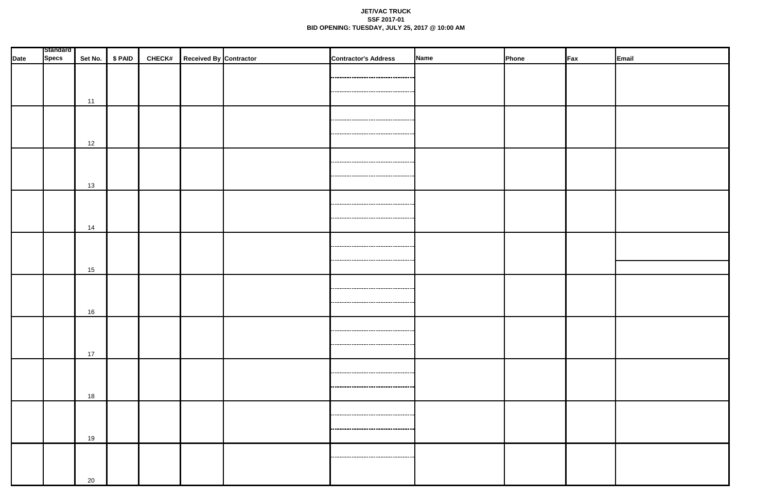## **JET/VAC TRUCK SSF 2017-01 BID OPENING: TUESDAY, JULY 25, 2017 @ 10:00 AM**

|             | <b>Standard</b> |    |                 |                                      |                                       | Name |       |                 |       |
|-------------|-----------------|----|-----------------|--------------------------------------|---------------------------------------|------|-------|-----------------|-------|
| <b>Date</b> | <b>Specs</b>    |    | Set No. \$ PAID | <b>CHECK#</b> Received By Contractor | <b>Contractor's Address</b>           |      | Phone | $\mathsf{F}$ ax | Email |
|             |                 |    |                 |                                      |                                       |      |       |                 |       |
|             |                 |    |                 |                                      |                                       |      |       |                 |       |
|             |                 | 11 |                 |                                      |                                       |      |       |                 |       |
|             |                 |    |                 |                                      |                                       |      |       |                 |       |
|             |                 |    |                 |                                      | ---------------------------------     |      |       |                 |       |
|             |                 |    |                 |                                      | ------------------------------------  |      |       |                 |       |
|             |                 | 12 |                 |                                      |                                       |      |       |                 |       |
|             |                 |    |                 |                                      |                                       |      |       |                 |       |
|             |                 |    |                 |                                      |                                       |      |       |                 |       |
|             |                 |    |                 |                                      |                                       |      |       |                 |       |
|             |                 | 13 |                 |                                      |                                       |      |       |                 |       |
|             |                 |    |                 |                                      |                                       |      |       |                 |       |
|             |                 |    |                 |                                      |                                       |      |       |                 |       |
|             |                 |    |                 |                                      | ------------------------------------  |      |       |                 |       |
|             |                 | 14 |                 |                                      |                                       |      |       |                 |       |
|             |                 |    |                 |                                      |                                       |      |       |                 |       |
|             |                 |    |                 |                                      |                                       |      |       |                 |       |
|             |                 |    |                 |                                      | ,,,,,,,,,,,,,,,,,,,,,,,,,,,,,,,,,,,,, |      |       |                 |       |
|             |                 | 15 |                 |                                      |                                       |      |       |                 |       |
|             |                 |    |                 |                                      |                                       |      |       |                 |       |
|             |                 |    |                 |                                      |                                       |      |       |                 |       |
|             |                 |    |                 |                                      |                                       |      |       |                 |       |
|             |                 | 16 |                 |                                      |                                       |      |       |                 |       |
|             |                 |    |                 |                                      |                                       |      |       |                 |       |
|             |                 |    |                 |                                      |                                       |      |       |                 |       |
|             |                 | 17 |                 |                                      |                                       |      |       |                 |       |
|             |                 |    |                 |                                      |                                       |      |       |                 |       |
|             |                 |    |                 |                                      | ------------------------------------  |      |       |                 |       |
|             |                 |    |                 |                                      |                                       |      |       |                 |       |
|             |                 | 18 |                 |                                      |                                       |      |       |                 |       |
|             |                 |    |                 |                                      |                                       |      |       |                 |       |
|             |                 |    |                 |                                      |                                       |      |       |                 |       |
|             |                 |    |                 |                                      |                                       |      |       |                 |       |
|             |                 | 19 |                 |                                      |                                       |      |       |                 |       |
|             |                 |    |                 |                                      |                                       |      |       |                 |       |
|             |                 |    |                 |                                      |                                       |      |       |                 |       |
|             |                 |    |                 |                                      |                                       |      |       |                 |       |
|             |                 | 20 |                 |                                      |                                       |      |       |                 |       |